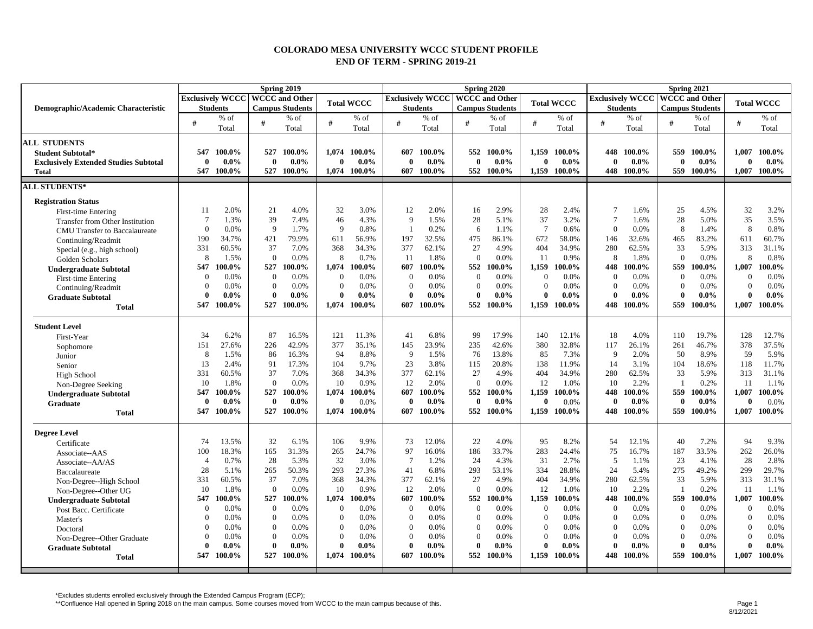## **COLORADO MESA UNIVERSITY WCCC STUDENT PROFILE END OF TERM - SPRING 2019-21**

| <b>Exclusively WCCC   WCCC and Other</b><br><b>Exclusively WCCC   WCCC and Other</b><br><b>Total WCCC</b><br><b>Total WCCC</b><br><b>Total WCCC</b><br><b>Campus Students</b><br><b>Campus Students</b><br><b>Campus Students</b><br><b>Students</b><br><b>Students</b><br><b>Students</b><br>Demographic/Academic Characteristic<br>% of<br>$%$ of<br>$%$ of<br>$%$ of<br>$%$ of<br>% of<br>% of<br>$%$ of<br>$%$ of<br>#<br>#<br>#<br>#<br>#<br>#<br>#<br>#<br>#<br>Total<br>Total<br>Total<br>Total<br>Total<br>Total<br>Total<br>Total<br>Total<br><b>ALL STUDENTS</b><br>547<br>100.0%<br>100.0%<br>1.074<br>100.0%<br>100.0%<br>552 100.0%<br>1.159<br>100.0%<br>448<br>100.0%<br>559<br>100.0%<br>1.007<br>100.0%<br>527<br>607<br><b>Student Subtotal*</b><br>$0.0\%$<br>$0.0\%$<br>$\mathbf{0}$<br>$0.0\%$<br>$\bf{0}$<br>$0.0\%$<br>$0.0\%$<br>$0.0\%$<br>$0.0\%$<br>$0.0\%$<br>$0.0\%$<br>$\mathbf{0}$<br>$\mathbf{0}$<br>$\mathbf{0}$<br>$\mathbf{0}$<br>$\theta$<br>$\mathbf{0}$<br>$\mathbf{0}$<br><b>Exclusively Extended Studies Subtotal</b><br>547 100.0%<br>527 100.0%<br>1.074 100.0%<br>607<br>552 100.0%<br>1.159<br>100.0%<br>448 100.0%<br>559 100.0%<br>1,007<br>100.0%<br>$100.0\%$<br><b>Total</b><br><b>ALL STUDENTS*</b><br><b>Registration Status</b><br>2.0%<br>21<br>4.0%<br>32<br>3.0%<br>12<br>2.0%<br>16<br>2.9%<br>28<br>2.4%<br>$\overline{7}$<br>1.6%<br>25<br>4.5%<br>32<br>3.2%<br>11<br><b>First-time Entering</b><br>37<br>39<br>7.4%<br>46<br>4.3%<br>$\mathbf Q$<br>1.5%<br>28<br>5.1%<br>3.2%<br>$\overline{7}$<br>28<br>5.0%<br>35<br>3.5%<br>7<br>1.3%<br>1.6%<br><b>Transfer from Other Institution</b><br>9<br>$\mathbf Q$<br>0.8%<br>0.0%<br>0.8%<br>$\Omega$<br>0.0%<br>1.7%<br>0.2%<br>1.1%<br>$\overline{7}$<br>0.6%<br>$\Omega$<br>8<br>8<br>6<br>1.4%<br><b>CMU</b> Transfer to Baccalaureate<br>190<br>34.7%<br>421<br>79.9%<br>56.9%<br>197<br>32.5%<br>475<br>86.1%<br>672<br>58.0%<br>32.6%<br>83.2%<br>611<br>60.7%<br>611<br>146<br>465<br>Continuing/Readmit<br>377<br>27<br>280<br>313<br>331<br>60.5%<br>37<br>7.0%<br>368<br>34.3%<br>62.1%<br>4.9%<br>404<br>34.9%<br>62.5%<br>33<br>5.9%<br>31.1%<br>Special (e.g., high school)<br>$\mathbf{0}$<br>0.0%<br>8<br>0.7%<br>$\Omega$<br>11<br>8<br>$\theta$<br>0.0%<br>0.8%<br>8<br>1.5%<br>-11<br>1.8%<br>0.0%<br>0.9%<br>1.8%<br>8<br>Golden Scholars<br>547<br>527<br>100.0%<br>607<br>552<br>559<br>100.0%<br>1.007<br>100.0%<br>100.0%<br>100.0%<br>1.074<br>100.0%<br>100.0%<br>1,159<br>100.0%<br>448<br>100.0%<br><b>Undergraduate Subtotal</b><br>0.0%<br>$\mathbf{0}$<br>0.0%<br>$\mathbf{0}$<br>0.0%<br>0.0%<br>$\mathbf{0}$<br>0.0%<br>$\Omega$<br>0.0%<br>0.0%<br>0.0%<br>0.0%<br>$\Omega$<br>$\Omega$<br>$\theta$<br>$\Omega$<br>$\Omega$<br>First-time Entering<br>$\mathbf{0}$<br>0.0%<br>$\mathbf{0}$<br>0.0%<br>$\Omega$<br>0.0%<br>$\Omega$<br>0.0%<br>$\Omega$<br>0.0%<br>$\Omega$<br>0.0%<br>$\mathbf{0}$<br>0.0%<br>$\Omega$<br>0.0%<br>$\Omega$<br>0.0%<br>Continuing/Readmit<br>$\theta$<br>$\theta$<br>$0.0\%$<br>$\theta$<br>$0.0\%$<br>$0.0\%$<br>0<br>$0.0\%$<br>$0.0\%$<br>$0.0\%$<br>$\theta$<br>$0.0\%$<br>0<br>$\mathbf{0}$<br>$0.0\%$<br>0<br>$0.0\%$<br>$\theta$<br><b>Graduate Subtotal</b><br>547<br>100.0%<br>527<br>100.0%<br>1.074<br>100.0%<br>100.0%<br>552<br>100.0%<br>1.159<br>100.0%<br>448<br>100.0%<br>559<br>100.0%<br>1,007<br>100.0%<br>607<br><b>Total</b><br><b>Student Level</b><br>34<br>6.2%<br>87<br>16.5%<br>121<br>11.3%<br>41<br>6.8%<br>99<br>17.9%<br>140<br>12.1%<br>18<br>4.0%<br>19.7%<br>128<br>12.7%<br>110<br>First-Year<br>37.5%<br>42.9%<br>377<br>35.1%<br>42.6%<br>380<br>32.8%<br>378<br>151<br>27.6%<br>226<br>145<br>23.9%<br>235<br>117<br>26.1%<br>261<br>46.7%<br>Sophomore<br>5.9%<br>8<br>1.5%<br>86<br>94<br>8.8%<br>$\mathbf{Q}$<br>13.8%<br>85<br>7.3%<br>9<br>2.0%<br>50<br>8.9%<br>59<br>16.3%<br>1.5%<br>76<br>Junior<br>13<br>91<br>104<br>9.7%<br>23<br>20.8%<br>138<br>11.9%<br>11.7%<br>2.4%<br>17.3%<br>3.8%<br>14<br>3.1%<br>104<br>18.6%<br>118<br>115<br>Senior<br>37<br>377<br>280<br>331<br>60.5%<br>7.0%<br>368<br>34.3%<br>62.1%<br>27<br>4.9%<br>404<br>34.9%<br>62.5%<br>33<br>5.9%<br>313<br>31.1%<br>High School<br>0.0%<br>10<br>0.9%<br>12<br>10<br>$\overline{0}$<br>12<br>2.0%<br>$\Omega$<br>0.0%<br>1.0%<br>10<br>2.2%<br>0.2%<br>-11<br>1.1%<br>1.8%<br>$\overline{1}$<br>Non-Degree Seeking<br>527<br>552<br>1,159<br>559<br>100.0%<br>100.0%<br>547<br>100.0%<br>100.0%<br>1,074<br>100.0%<br>607<br>100.0%<br>100.0%<br>100.0%<br>448<br>100.0%<br>1,007<br><b>Undergraduate Subtotal</b><br>$0.0\%$<br>$\mathbf{0}$<br>0.0%<br>$\mathbf{0}$<br>$0.0\%$<br>0.0%<br>$0.0\%$<br>$0.0\%$<br>0.0%<br>$0.0\%$<br>$\theta$<br>$\mathbf{0}$<br>$0.0\%$<br>$\mathbf{0}$<br>$\mathbf{0}$<br>$\mathbf{0}$<br>$\mathbf{0}$<br>0<br>Graduate<br>100.0%<br>100.0%<br>547<br>100.0%<br>527<br>100.0%<br>1,074<br>607<br>100.0%<br>552<br>100.0%<br>1,159<br>100.0%<br>448<br>100.0%<br>559<br>100.0%<br>1,007<br><b>Total</b><br><b>Degree Level</b><br>13.5%<br>9.9%<br>73<br>12.0%<br>22<br>4.0%<br>95<br>8.2%<br>7.2%<br>94<br>9.3%<br>74<br>32<br>6.1%<br>106<br>54<br>12.1%<br>40<br>Certificate<br>97<br>283<br>75<br>33.5%<br>262<br>26.0%<br>100<br>18.3%<br>165<br>31.3%<br>265<br>24.7%<br>16.0%<br>186<br>33.7%<br>24.4%<br>16.7%<br>187<br>Associate--AAS<br>28<br>32<br>3.0%<br>24<br>31<br>5<br>23<br>28<br>2.8%<br>0.7%<br>5.3%<br>$\overline{7}$<br>1.2%<br>4.3%<br>2.7%<br>1.1%<br>4.1%<br>$\overline{4}$<br>Associate--AA/AS<br>29.7%<br>28<br>5.1%<br>265<br>50.3%<br>293<br>27.3%<br>41<br>6.8%<br>293<br>53.1%<br>334<br>28.8%<br>24<br>5.4%<br>275<br>49.2%<br>299<br>Baccalaureate<br>37<br>377<br>27<br>404<br>331<br>60.5%<br>7.0%<br>368<br>34.3%<br>62.1%<br>4.9%<br>34.9%<br>280<br>62.5%<br>33<br>5.9%<br>313<br>31.1%<br>Non-Degree--High School<br>$\mathbf{0}$<br>0.0%<br>0.9%<br>12<br>2.0%<br>$\mathbf{0}$<br>12<br>2.2%<br>0.2%<br>10<br>1.8%<br>10<br>0.0%<br>1.0%<br>10<br>11<br>1.1%<br>Non-Degree--Other UG<br>547<br>527<br>$100.0\%$<br>100.0%<br>607<br>552<br>1.159<br>100.0%<br>448<br>100.0%<br>559<br>100.0%<br>1,007<br>100.0%<br>100.0%<br>1.074<br>100.0%<br>100.0%<br><b>Undergraduate Subtotal</b><br>0.0%<br>$\mathbf{0}$<br>0.0%<br>$\mathbf{0}$<br>0.0%<br>0.0%<br>$\mathbf{0}$<br>0.0%<br>$\overline{0}$<br>$0.0\%$<br>$\overline{0}$<br>0.0%<br>$\overline{0}$<br>0.0%<br>$\overline{0}$<br>0.0%<br>$\Omega$<br>$\Omega$<br>Post Bacc. Certificate<br>$\boldsymbol{0}$<br>$\overline{0}$<br>0.0%<br>0.0%<br>0.0%<br>$\mathbf{0}$<br>0.0%<br>$\Omega$<br>0.0%<br>0.0%<br>$\Omega$<br>$\Omega$<br>$\Omega$<br>$0.0\%$<br>$\Omega$<br>0.0%<br>$\Omega$<br>0.0%<br>Master's<br>$\overline{0}$<br>$\overline{0}$<br>$\Omega$<br>0.0%<br>0.0%<br>$\theta$<br>0.0%<br>$\overline{0}$<br>$\Omega$<br>$\Omega$<br>0.0%<br>0.0%<br>$\Omega$<br>$0.0\%$<br>$\Omega$<br>0.0%<br>0.0%<br>0.0%<br>Doctoral<br>$\mathbf{0}$<br>$\overline{0}$<br>0.0%<br>$\mathbf{0}$<br>0.0%<br>0.0%<br>0.0%<br>$\mathbf{0}$<br>0.0%<br>$\overline{0}$<br>0.0%<br>$\Omega$<br>0.0%<br>$\mathbf{0}$<br>0.0%<br>$\Omega$<br>0.0%<br>$\Omega$<br>Non-Degree--Other Graduate<br>$\theta$<br>$0.0\%$<br>$\Omega$<br>$0.0\%$<br>$0.0\%$<br>$\theta$<br>$0.0\%$<br>$\mathbf{0}$<br>$0.0\%$<br>$\theta$<br>$0.0\%$<br>0<br>$0.0\%$<br>$\mathbf{0}$<br>$0.0\%$<br>$\theta$<br>$0.0\%$<br>$\theta$<br><b>Graduate Subtotal</b><br>100.0%<br>547<br>527<br>100.0%<br>1,074<br>552<br>1,159<br>448<br>559<br>100.0%<br>1,007<br>100.0%<br>$100.0\%$<br>607<br>100.0%<br>100.0%<br>100.0%<br>100.0%<br><b>Total</b> |  | Spring 2019 |                         | Spring 2020           | Spring 2021 |  |  |  |  |  |
|---------------------------------------------------------------------------------------------------------------------------------------------------------------------------------------------------------------------------------------------------------------------------------------------------------------------------------------------------------------------------------------------------------------------------------------------------------------------------------------------------------------------------------------------------------------------------------------------------------------------------------------------------------------------------------------------------------------------------------------------------------------------------------------------------------------------------------------------------------------------------------------------------------------------------------------------------------------------------------------------------------------------------------------------------------------------------------------------------------------------------------------------------------------------------------------------------------------------------------------------------------------------------------------------------------------------------------------------------------------------------------------------------------------------------------------------------------------------------------------------------------------------------------------------------------------------------------------------------------------------------------------------------------------------------------------------------------------------------------------------------------------------------------------------------------------------------------------------------------------------------------------------------------------------------------------------------------------------------------------------------------------------------------------------------------------------------------------------------------------------------------------------------------------------------------------------------------------------------------------------------------------------------------------------------------------------------------------------------------------------------------------------------------------------------------------------------------------------------------------------------------------------------------------------------------------------------------------------------------------------------------------------------------------------------------------------------------------------------------------------------------------------------------------------------------------------------------------------------------------------------------------------------------------------------------------------------------------------------------------------------------------------------------------------------------------------------------------------------------------------------------------------------------------------------------------------------------------------------------------------------------------------------------------------------------------------------------------------------------------------------------------------------------------------------------------------------------------------------------------------------------------------------------------------------------------------------------------------------------------------------------------------------------------------------------------------------------------------------------------------------------------------------------------------------------------------------------------------------------------------------------------------------------------------------------------------------------------------------------------------------------------------------------------------------------------------------------------------------------------------------------------------------------------------------------------------------------------------------------------------------------------------------------------------------------------------------------------------------------------------------------------------------------------------------------------------------------------------------------------------------------------------------------------------------------------------------------------------------------------------------------------------------------------------------------------------------------------------------------------------------------------------------------------------------------------------------------------------------------------------------------------------------------------------------------------------------------------------------------------------------------------------------------------------------------------------------------------------------------------------------------------------------------------------------------------------------------------------------------------------------------------------------------------------------------------------------------------------------------------------------------------------------------------------------------------------------------------------------------------------------------------------------------------------------------------------------------------------------------------------------------------------------------------------------------------------------------------------------------------------------------------------------------------------------------------------------------------------------------------------------------------------------------------------------------------------------------------------------------------------------------------------------------------------------------------------------------------------------------------------------------------------------------------------------------------------------------------------------------------------------------------------------------------------------------------------------------------------------------------------------------------------------------------------------------------------------------------------------------------------------------------------------------------------------------------------------------------------------------------------------------------------------------------------------------------------------------------------------------------------------------------------------------------------------------------------------------------------------------------------------------------------------------------------------------------------------------------------------------------------------------------------------------------------------------------------------------------------------------------------------------------------------------------------------------------------------------------------------------------------------------------------------------------------------------------------------------------------------------------------------------------------------------------------------------------------------------------------------------------------------------------------------------------------------------------------------------------------------------------------------------------------------|--|-------------|-------------------------|-----------------------|-------------|--|--|--|--|--|
|                                                                                                                                                                                                                                                                                                                                                                                                                                                                                                                                                                                                                                                                                                                                                                                                                                                                                                                                                                                                                                                                                                                                                                                                                                                                                                                                                                                                                                                                                                                                                                                                                                                                                                                                                                                                                                                                                                                                                                                                                                                                                                                                                                                                                                                                                                                                                                                                                                                                                                                                                                                                                                                                                                                                                                                                                                                                                                                                                                                                                                                                                                                                                                                                                                                                                                                                                                                                                                                                                                                                                                                                                                                                                                                                                                                                                                                                                                                                                                                                                                                                                                                                                                                                                                                                                                                                                                                                                                                                                                                                                                                                                                                                                                                                                                                                                                                                                                                                                                                                                                                                                                                                                                                                                                                                                                                                                                                                                                                                                                                                                                                                                                                                                                                                                                                                                                                                                                                                                                                                                                                                                                                                                                                                                                                                                                                                                                                                                                                                                                                                                                                                                                                                                                                                                                                                                                                                                                                                                                                                                                                                                                                                                                                                                                                                                                                                                                                                                                                                                                                                                                                                                                                   |  |             | <b>Exclusively WCCC</b> | <b>WCCC</b> and Other |             |  |  |  |  |  |
|                                                                                                                                                                                                                                                                                                                                                                                                                                                                                                                                                                                                                                                                                                                                                                                                                                                                                                                                                                                                                                                                                                                                                                                                                                                                                                                                                                                                                                                                                                                                                                                                                                                                                                                                                                                                                                                                                                                                                                                                                                                                                                                                                                                                                                                                                                                                                                                                                                                                                                                                                                                                                                                                                                                                                                                                                                                                                                                                                                                                                                                                                                                                                                                                                                                                                                                                                                                                                                                                                                                                                                                                                                                                                                                                                                                                                                                                                                                                                                                                                                                                                                                                                                                                                                                                                                                                                                                                                                                                                                                                                                                                                                                                                                                                                                                                                                                                                                                                                                                                                                                                                                                                                                                                                                                                                                                                                                                                                                                                                                                                                                                                                                                                                                                                                                                                                                                                                                                                                                                                                                                                                                                                                                                                                                                                                                                                                                                                                                                                                                                                                                                                                                                                                                                                                                                                                                                                                                                                                                                                                                                                                                                                                                                                                                                                                                                                                                                                                                                                                                                                                                                                                                                   |  |             |                         |                       |             |  |  |  |  |  |
|                                                                                                                                                                                                                                                                                                                                                                                                                                                                                                                                                                                                                                                                                                                                                                                                                                                                                                                                                                                                                                                                                                                                                                                                                                                                                                                                                                                                                                                                                                                                                                                                                                                                                                                                                                                                                                                                                                                                                                                                                                                                                                                                                                                                                                                                                                                                                                                                                                                                                                                                                                                                                                                                                                                                                                                                                                                                                                                                                                                                                                                                                                                                                                                                                                                                                                                                                                                                                                                                                                                                                                                                                                                                                                                                                                                                                                                                                                                                                                                                                                                                                                                                                                                                                                                                                                                                                                                                                                                                                                                                                                                                                                                                                                                                                                                                                                                                                                                                                                                                                                                                                                                                                                                                                                                                                                                                                                                                                                                                                                                                                                                                                                                                                                                                                                                                                                                                                                                                                                                                                                                                                                                                                                                                                                                                                                                                                                                                                                                                                                                                                                                                                                                                                                                                                                                                                                                                                                                                                                                                                                                                                                                                                                                                                                                                                                                                                                                                                                                                                                                                                                                                                                                   |  |             |                         |                       |             |  |  |  |  |  |
|                                                                                                                                                                                                                                                                                                                                                                                                                                                                                                                                                                                                                                                                                                                                                                                                                                                                                                                                                                                                                                                                                                                                                                                                                                                                                                                                                                                                                                                                                                                                                                                                                                                                                                                                                                                                                                                                                                                                                                                                                                                                                                                                                                                                                                                                                                                                                                                                                                                                                                                                                                                                                                                                                                                                                                                                                                                                                                                                                                                                                                                                                                                                                                                                                                                                                                                                                                                                                                                                                                                                                                                                                                                                                                                                                                                                                                                                                                                                                                                                                                                                                                                                                                                                                                                                                                                                                                                                                                                                                                                                                                                                                                                                                                                                                                                                                                                                                                                                                                                                                                                                                                                                                                                                                                                                                                                                                                                                                                                                                                                                                                                                                                                                                                                                                                                                                                                                                                                                                                                                                                                                                                                                                                                                                                                                                                                                                                                                                                                                                                                                                                                                                                                                                                                                                                                                                                                                                                                                                                                                                                                                                                                                                                                                                                                                                                                                                                                                                                                                                                                                                                                                                                                   |  |             |                         |                       |             |  |  |  |  |  |
|                                                                                                                                                                                                                                                                                                                                                                                                                                                                                                                                                                                                                                                                                                                                                                                                                                                                                                                                                                                                                                                                                                                                                                                                                                                                                                                                                                                                                                                                                                                                                                                                                                                                                                                                                                                                                                                                                                                                                                                                                                                                                                                                                                                                                                                                                                                                                                                                                                                                                                                                                                                                                                                                                                                                                                                                                                                                                                                                                                                                                                                                                                                                                                                                                                                                                                                                                                                                                                                                                                                                                                                                                                                                                                                                                                                                                                                                                                                                                                                                                                                                                                                                                                                                                                                                                                                                                                                                                                                                                                                                                                                                                                                                                                                                                                                                                                                                                                                                                                                                                                                                                                                                                                                                                                                                                                                                                                                                                                                                                                                                                                                                                                                                                                                                                                                                                                                                                                                                                                                                                                                                                                                                                                                                                                                                                                                                                                                                                                                                                                                                                                                                                                                                                                                                                                                                                                                                                                                                                                                                                                                                                                                                                                                                                                                                                                                                                                                                                                                                                                                                                                                                                                                   |  |             |                         |                       |             |  |  |  |  |  |
|                                                                                                                                                                                                                                                                                                                                                                                                                                                                                                                                                                                                                                                                                                                                                                                                                                                                                                                                                                                                                                                                                                                                                                                                                                                                                                                                                                                                                                                                                                                                                                                                                                                                                                                                                                                                                                                                                                                                                                                                                                                                                                                                                                                                                                                                                                                                                                                                                                                                                                                                                                                                                                                                                                                                                                                                                                                                                                                                                                                                                                                                                                                                                                                                                                                                                                                                                                                                                                                                                                                                                                                                                                                                                                                                                                                                                                                                                                                                                                                                                                                                                                                                                                                                                                                                                                                                                                                                                                                                                                                                                                                                                                                                                                                                                                                                                                                                                                                                                                                                                                                                                                                                                                                                                                                                                                                                                                                                                                                                                                                                                                                                                                                                                                                                                                                                                                                                                                                                                                                                                                                                                                                                                                                                                                                                                                                                                                                                                                                                                                                                                                                                                                                                                                                                                                                                                                                                                                                                                                                                                                                                                                                                                                                                                                                                                                                                                                                                                                                                                                                                                                                                                                                   |  |             |                         |                       |             |  |  |  |  |  |
|                                                                                                                                                                                                                                                                                                                                                                                                                                                                                                                                                                                                                                                                                                                                                                                                                                                                                                                                                                                                                                                                                                                                                                                                                                                                                                                                                                                                                                                                                                                                                                                                                                                                                                                                                                                                                                                                                                                                                                                                                                                                                                                                                                                                                                                                                                                                                                                                                                                                                                                                                                                                                                                                                                                                                                                                                                                                                                                                                                                                                                                                                                                                                                                                                                                                                                                                                                                                                                                                                                                                                                                                                                                                                                                                                                                                                                                                                                                                                                                                                                                                                                                                                                                                                                                                                                                                                                                                                                                                                                                                                                                                                                                                                                                                                                                                                                                                                                                                                                                                                                                                                                                                                                                                                                                                                                                                                                                                                                                                                                                                                                                                                                                                                                                                                                                                                                                                                                                                                                                                                                                                                                                                                                                                                                                                                                                                                                                                                                                                                                                                                                                                                                                                                                                                                                                                                                                                                                                                                                                                                                                                                                                                                                                                                                                                                                                                                                                                                                                                                                                                                                                                                                                   |  |             |                         |                       |             |  |  |  |  |  |
|                                                                                                                                                                                                                                                                                                                                                                                                                                                                                                                                                                                                                                                                                                                                                                                                                                                                                                                                                                                                                                                                                                                                                                                                                                                                                                                                                                                                                                                                                                                                                                                                                                                                                                                                                                                                                                                                                                                                                                                                                                                                                                                                                                                                                                                                                                                                                                                                                                                                                                                                                                                                                                                                                                                                                                                                                                                                                                                                                                                                                                                                                                                                                                                                                                                                                                                                                                                                                                                                                                                                                                                                                                                                                                                                                                                                                                                                                                                                                                                                                                                                                                                                                                                                                                                                                                                                                                                                                                                                                                                                                                                                                                                                                                                                                                                                                                                                                                                                                                                                                                                                                                                                                                                                                                                                                                                                                                                                                                                                                                                                                                                                                                                                                                                                                                                                                                                                                                                                                                                                                                                                                                                                                                                                                                                                                                                                                                                                                                                                                                                                                                                                                                                                                                                                                                                                                                                                                                                                                                                                                                                                                                                                                                                                                                                                                                                                                                                                                                                                                                                                                                                                                                                   |  |             |                         |                       |             |  |  |  |  |  |
|                                                                                                                                                                                                                                                                                                                                                                                                                                                                                                                                                                                                                                                                                                                                                                                                                                                                                                                                                                                                                                                                                                                                                                                                                                                                                                                                                                                                                                                                                                                                                                                                                                                                                                                                                                                                                                                                                                                                                                                                                                                                                                                                                                                                                                                                                                                                                                                                                                                                                                                                                                                                                                                                                                                                                                                                                                                                                                                                                                                                                                                                                                                                                                                                                                                                                                                                                                                                                                                                                                                                                                                                                                                                                                                                                                                                                                                                                                                                                                                                                                                                                                                                                                                                                                                                                                                                                                                                                                                                                                                                                                                                                                                                                                                                                                                                                                                                                                                                                                                                                                                                                                                                                                                                                                                                                                                                                                                                                                                                                                                                                                                                                                                                                                                                                                                                                                                                                                                                                                                                                                                                                                                                                                                                                                                                                                                                                                                                                                                                                                                                                                                                                                                                                                                                                                                                                                                                                                                                                                                                                                                                                                                                                                                                                                                                                                                                                                                                                                                                                                                                                                                                                                                   |  |             |                         |                       |             |  |  |  |  |  |
|                                                                                                                                                                                                                                                                                                                                                                                                                                                                                                                                                                                                                                                                                                                                                                                                                                                                                                                                                                                                                                                                                                                                                                                                                                                                                                                                                                                                                                                                                                                                                                                                                                                                                                                                                                                                                                                                                                                                                                                                                                                                                                                                                                                                                                                                                                                                                                                                                                                                                                                                                                                                                                                                                                                                                                                                                                                                                                                                                                                                                                                                                                                                                                                                                                                                                                                                                                                                                                                                                                                                                                                                                                                                                                                                                                                                                                                                                                                                                                                                                                                                                                                                                                                                                                                                                                                                                                                                                                                                                                                                                                                                                                                                                                                                                                                                                                                                                                                                                                                                                                                                                                                                                                                                                                                                                                                                                                                                                                                                                                                                                                                                                                                                                                                                                                                                                                                                                                                                                                                                                                                                                                                                                                                                                                                                                                                                                                                                                                                                                                                                                                                                                                                                                                                                                                                                                                                                                                                                                                                                                                                                                                                                                                                                                                                                                                                                                                                                                                                                                                                                                                                                                                                   |  |             |                         |                       |             |  |  |  |  |  |
|                                                                                                                                                                                                                                                                                                                                                                                                                                                                                                                                                                                                                                                                                                                                                                                                                                                                                                                                                                                                                                                                                                                                                                                                                                                                                                                                                                                                                                                                                                                                                                                                                                                                                                                                                                                                                                                                                                                                                                                                                                                                                                                                                                                                                                                                                                                                                                                                                                                                                                                                                                                                                                                                                                                                                                                                                                                                                                                                                                                                                                                                                                                                                                                                                                                                                                                                                                                                                                                                                                                                                                                                                                                                                                                                                                                                                                                                                                                                                                                                                                                                                                                                                                                                                                                                                                                                                                                                                                                                                                                                                                                                                                                                                                                                                                                                                                                                                                                                                                                                                                                                                                                                                                                                                                                                                                                                                                                                                                                                                                                                                                                                                                                                                                                                                                                                                                                                                                                                                                                                                                                                                                                                                                                                                                                                                                                                                                                                                                                                                                                                                                                                                                                                                                                                                                                                                                                                                                                                                                                                                                                                                                                                                                                                                                                                                                                                                                                                                                                                                                                                                                                                                                                   |  |             |                         |                       |             |  |  |  |  |  |
|                                                                                                                                                                                                                                                                                                                                                                                                                                                                                                                                                                                                                                                                                                                                                                                                                                                                                                                                                                                                                                                                                                                                                                                                                                                                                                                                                                                                                                                                                                                                                                                                                                                                                                                                                                                                                                                                                                                                                                                                                                                                                                                                                                                                                                                                                                                                                                                                                                                                                                                                                                                                                                                                                                                                                                                                                                                                                                                                                                                                                                                                                                                                                                                                                                                                                                                                                                                                                                                                                                                                                                                                                                                                                                                                                                                                                                                                                                                                                                                                                                                                                                                                                                                                                                                                                                                                                                                                                                                                                                                                                                                                                                                                                                                                                                                                                                                                                                                                                                                                                                                                                                                                                                                                                                                                                                                                                                                                                                                                                                                                                                                                                                                                                                                                                                                                                                                                                                                                                                                                                                                                                                                                                                                                                                                                                                                                                                                                                                                                                                                                                                                                                                                                                                                                                                                                                                                                                                                                                                                                                                                                                                                                                                                                                                                                                                                                                                                                                                                                                                                                                                                                                                                   |  |             |                         |                       |             |  |  |  |  |  |
|                                                                                                                                                                                                                                                                                                                                                                                                                                                                                                                                                                                                                                                                                                                                                                                                                                                                                                                                                                                                                                                                                                                                                                                                                                                                                                                                                                                                                                                                                                                                                                                                                                                                                                                                                                                                                                                                                                                                                                                                                                                                                                                                                                                                                                                                                                                                                                                                                                                                                                                                                                                                                                                                                                                                                                                                                                                                                                                                                                                                                                                                                                                                                                                                                                                                                                                                                                                                                                                                                                                                                                                                                                                                                                                                                                                                                                                                                                                                                                                                                                                                                                                                                                                                                                                                                                                                                                                                                                                                                                                                                                                                                                                                                                                                                                                                                                                                                                                                                                                                                                                                                                                                                                                                                                                                                                                                                                                                                                                                                                                                                                                                                                                                                                                                                                                                                                                                                                                                                                                                                                                                                                                                                                                                                                                                                                                                                                                                                                                                                                                                                                                                                                                                                                                                                                                                                                                                                                                                                                                                                                                                                                                                                                                                                                                                                                                                                                                                                                                                                                                                                                                                                                                   |  |             |                         |                       |             |  |  |  |  |  |
|                                                                                                                                                                                                                                                                                                                                                                                                                                                                                                                                                                                                                                                                                                                                                                                                                                                                                                                                                                                                                                                                                                                                                                                                                                                                                                                                                                                                                                                                                                                                                                                                                                                                                                                                                                                                                                                                                                                                                                                                                                                                                                                                                                                                                                                                                                                                                                                                                                                                                                                                                                                                                                                                                                                                                                                                                                                                                                                                                                                                                                                                                                                                                                                                                                                                                                                                                                                                                                                                                                                                                                                                                                                                                                                                                                                                                                                                                                                                                                                                                                                                                                                                                                                                                                                                                                                                                                                                                                                                                                                                                                                                                                                                                                                                                                                                                                                                                                                                                                                                                                                                                                                                                                                                                                                                                                                                                                                                                                                                                                                                                                                                                                                                                                                                                                                                                                                                                                                                                                                                                                                                                                                                                                                                                                                                                                                                                                                                                                                                                                                                                                                                                                                                                                                                                                                                                                                                                                                                                                                                                                                                                                                                                                                                                                                                                                                                                                                                                                                                                                                                                                                                                                                   |  |             |                         |                       |             |  |  |  |  |  |
|                                                                                                                                                                                                                                                                                                                                                                                                                                                                                                                                                                                                                                                                                                                                                                                                                                                                                                                                                                                                                                                                                                                                                                                                                                                                                                                                                                                                                                                                                                                                                                                                                                                                                                                                                                                                                                                                                                                                                                                                                                                                                                                                                                                                                                                                                                                                                                                                                                                                                                                                                                                                                                                                                                                                                                                                                                                                                                                                                                                                                                                                                                                                                                                                                                                                                                                                                                                                                                                                                                                                                                                                                                                                                                                                                                                                                                                                                                                                                                                                                                                                                                                                                                                                                                                                                                                                                                                                                                                                                                                                                                                                                                                                                                                                                                                                                                                                                                                                                                                                                                                                                                                                                                                                                                                                                                                                                                                                                                                                                                                                                                                                                                                                                                                                                                                                                                                                                                                                                                                                                                                                                                                                                                                                                                                                                                                                                                                                                                                                                                                                                                                                                                                                                                                                                                                                                                                                                                                                                                                                                                                                                                                                                                                                                                                                                                                                                                                                                                                                                                                                                                                                                                                   |  |             |                         |                       |             |  |  |  |  |  |
|                                                                                                                                                                                                                                                                                                                                                                                                                                                                                                                                                                                                                                                                                                                                                                                                                                                                                                                                                                                                                                                                                                                                                                                                                                                                                                                                                                                                                                                                                                                                                                                                                                                                                                                                                                                                                                                                                                                                                                                                                                                                                                                                                                                                                                                                                                                                                                                                                                                                                                                                                                                                                                                                                                                                                                                                                                                                                                                                                                                                                                                                                                                                                                                                                                                                                                                                                                                                                                                                                                                                                                                                                                                                                                                                                                                                                                                                                                                                                                                                                                                                                                                                                                                                                                                                                                                                                                                                                                                                                                                                                                                                                                                                                                                                                                                                                                                                                                                                                                                                                                                                                                                                                                                                                                                                                                                                                                                                                                                                                                                                                                                                                                                                                                                                                                                                                                                                                                                                                                                                                                                                                                                                                                                                                                                                                                                                                                                                                                                                                                                                                                                                                                                                                                                                                                                                                                                                                                                                                                                                                                                                                                                                                                                                                                                                                                                                                                                                                                                                                                                                                                                                                                                   |  |             |                         |                       |             |  |  |  |  |  |
|                                                                                                                                                                                                                                                                                                                                                                                                                                                                                                                                                                                                                                                                                                                                                                                                                                                                                                                                                                                                                                                                                                                                                                                                                                                                                                                                                                                                                                                                                                                                                                                                                                                                                                                                                                                                                                                                                                                                                                                                                                                                                                                                                                                                                                                                                                                                                                                                                                                                                                                                                                                                                                                                                                                                                                                                                                                                                                                                                                                                                                                                                                                                                                                                                                                                                                                                                                                                                                                                                                                                                                                                                                                                                                                                                                                                                                                                                                                                                                                                                                                                                                                                                                                                                                                                                                                                                                                                                                                                                                                                                                                                                                                                                                                                                                                                                                                                                                                                                                                                                                                                                                                                                                                                                                                                                                                                                                                                                                                                                                                                                                                                                                                                                                                                                                                                                                                                                                                                                                                                                                                                                                                                                                                                                                                                                                                                                                                                                                                                                                                                                                                                                                                                                                                                                                                                                                                                                                                                                                                                                                                                                                                                                                                                                                                                                                                                                                                                                                                                                                                                                                                                                                                   |  |             |                         |                       |             |  |  |  |  |  |
|                                                                                                                                                                                                                                                                                                                                                                                                                                                                                                                                                                                                                                                                                                                                                                                                                                                                                                                                                                                                                                                                                                                                                                                                                                                                                                                                                                                                                                                                                                                                                                                                                                                                                                                                                                                                                                                                                                                                                                                                                                                                                                                                                                                                                                                                                                                                                                                                                                                                                                                                                                                                                                                                                                                                                                                                                                                                                                                                                                                                                                                                                                                                                                                                                                                                                                                                                                                                                                                                                                                                                                                                                                                                                                                                                                                                                                                                                                                                                                                                                                                                                                                                                                                                                                                                                                                                                                                                                                                                                                                                                                                                                                                                                                                                                                                                                                                                                                                                                                                                                                                                                                                                                                                                                                                                                                                                                                                                                                                                                                                                                                                                                                                                                                                                                                                                                                                                                                                                                                                                                                                                                                                                                                                                                                                                                                                                                                                                                                                                                                                                                                                                                                                                                                                                                                                                                                                                                                                                                                                                                                                                                                                                                                                                                                                                                                                                                                                                                                                                                                                                                                                                                                                   |  |             |                         |                       |             |  |  |  |  |  |
|                                                                                                                                                                                                                                                                                                                                                                                                                                                                                                                                                                                                                                                                                                                                                                                                                                                                                                                                                                                                                                                                                                                                                                                                                                                                                                                                                                                                                                                                                                                                                                                                                                                                                                                                                                                                                                                                                                                                                                                                                                                                                                                                                                                                                                                                                                                                                                                                                                                                                                                                                                                                                                                                                                                                                                                                                                                                                                                                                                                                                                                                                                                                                                                                                                                                                                                                                                                                                                                                                                                                                                                                                                                                                                                                                                                                                                                                                                                                                                                                                                                                                                                                                                                                                                                                                                                                                                                                                                                                                                                                                                                                                                                                                                                                                                                                                                                                                                                                                                                                                                                                                                                                                                                                                                                                                                                                                                                                                                                                                                                                                                                                                                                                                                                                                                                                                                                                                                                                                                                                                                                                                                                                                                                                                                                                                                                                                                                                                                                                                                                                                                                                                                                                                                                                                                                                                                                                                                                                                                                                                                                                                                                                                                                                                                                                                                                                                                                                                                                                                                                                                                                                                                                   |  |             |                         |                       |             |  |  |  |  |  |
|                                                                                                                                                                                                                                                                                                                                                                                                                                                                                                                                                                                                                                                                                                                                                                                                                                                                                                                                                                                                                                                                                                                                                                                                                                                                                                                                                                                                                                                                                                                                                                                                                                                                                                                                                                                                                                                                                                                                                                                                                                                                                                                                                                                                                                                                                                                                                                                                                                                                                                                                                                                                                                                                                                                                                                                                                                                                                                                                                                                                                                                                                                                                                                                                                                                                                                                                                                                                                                                                                                                                                                                                                                                                                                                                                                                                                                                                                                                                                                                                                                                                                                                                                                                                                                                                                                                                                                                                                                                                                                                                                                                                                                                                                                                                                                                                                                                                                                                                                                                                                                                                                                                                                                                                                                                                                                                                                                                                                                                                                                                                                                                                                                                                                                                                                                                                                                                                                                                                                                                                                                                                                                                                                                                                                                                                                                                                                                                                                                                                                                                                                                                                                                                                                                                                                                                                                                                                                                                                                                                                                                                                                                                                                                                                                                                                                                                                                                                                                                                                                                                                                                                                                                                   |  |             |                         |                       |             |  |  |  |  |  |
|                                                                                                                                                                                                                                                                                                                                                                                                                                                                                                                                                                                                                                                                                                                                                                                                                                                                                                                                                                                                                                                                                                                                                                                                                                                                                                                                                                                                                                                                                                                                                                                                                                                                                                                                                                                                                                                                                                                                                                                                                                                                                                                                                                                                                                                                                                                                                                                                                                                                                                                                                                                                                                                                                                                                                                                                                                                                                                                                                                                                                                                                                                                                                                                                                                                                                                                                                                                                                                                                                                                                                                                                                                                                                                                                                                                                                                                                                                                                                                                                                                                                                                                                                                                                                                                                                                                                                                                                                                                                                                                                                                                                                                                                                                                                                                                                                                                                                                                                                                                                                                                                                                                                                                                                                                                                                                                                                                                                                                                                                                                                                                                                                                                                                                                                                                                                                                                                                                                                                                                                                                                                                                                                                                                                                                                                                                                                                                                                                                                                                                                                                                                                                                                                                                                                                                                                                                                                                                                                                                                                                                                                                                                                                                                                                                                                                                                                                                                                                                                                                                                                                                                                                                                   |  |             |                         |                       |             |  |  |  |  |  |
|                                                                                                                                                                                                                                                                                                                                                                                                                                                                                                                                                                                                                                                                                                                                                                                                                                                                                                                                                                                                                                                                                                                                                                                                                                                                                                                                                                                                                                                                                                                                                                                                                                                                                                                                                                                                                                                                                                                                                                                                                                                                                                                                                                                                                                                                                                                                                                                                                                                                                                                                                                                                                                                                                                                                                                                                                                                                                                                                                                                                                                                                                                                                                                                                                                                                                                                                                                                                                                                                                                                                                                                                                                                                                                                                                                                                                                                                                                                                                                                                                                                                                                                                                                                                                                                                                                                                                                                                                                                                                                                                                                                                                                                                                                                                                                                                                                                                                                                                                                                                                                                                                                                                                                                                                                                                                                                                                                                                                                                                                                                                                                                                                                                                                                                                                                                                                                                                                                                                                                                                                                                                                                                                                                                                                                                                                                                                                                                                                                                                                                                                                                                                                                                                                                                                                                                                                                                                                                                                                                                                                                                                                                                                                                                                                                                                                                                                                                                                                                                                                                                                                                                                                                                   |  |             |                         |                       |             |  |  |  |  |  |
|                                                                                                                                                                                                                                                                                                                                                                                                                                                                                                                                                                                                                                                                                                                                                                                                                                                                                                                                                                                                                                                                                                                                                                                                                                                                                                                                                                                                                                                                                                                                                                                                                                                                                                                                                                                                                                                                                                                                                                                                                                                                                                                                                                                                                                                                                                                                                                                                                                                                                                                                                                                                                                                                                                                                                                                                                                                                                                                                                                                                                                                                                                                                                                                                                                                                                                                                                                                                                                                                                                                                                                                                                                                                                                                                                                                                                                                                                                                                                                                                                                                                                                                                                                                                                                                                                                                                                                                                                                                                                                                                                                                                                                                                                                                                                                                                                                                                                                                                                                                                                                                                                                                                                                                                                                                                                                                                                                                                                                                                                                                                                                                                                                                                                                                                                                                                                                                                                                                                                                                                                                                                                                                                                                                                                                                                                                                                                                                                                                                                                                                                                                                                                                                                                                                                                                                                                                                                                                                                                                                                                                                                                                                                                                                                                                                                                                                                                                                                                                                                                                                                                                                                                                                   |  |             |                         |                       |             |  |  |  |  |  |
|                                                                                                                                                                                                                                                                                                                                                                                                                                                                                                                                                                                                                                                                                                                                                                                                                                                                                                                                                                                                                                                                                                                                                                                                                                                                                                                                                                                                                                                                                                                                                                                                                                                                                                                                                                                                                                                                                                                                                                                                                                                                                                                                                                                                                                                                                                                                                                                                                                                                                                                                                                                                                                                                                                                                                                                                                                                                                                                                                                                                                                                                                                                                                                                                                                                                                                                                                                                                                                                                                                                                                                                                                                                                                                                                                                                                                                                                                                                                                                                                                                                                                                                                                                                                                                                                                                                                                                                                                                                                                                                                                                                                                                                                                                                                                                                                                                                                                                                                                                                                                                                                                                                                                                                                                                                                                                                                                                                                                                                                                                                                                                                                                                                                                                                                                                                                                                                                                                                                                                                                                                                                                                                                                                                                                                                                                                                                                                                                                                                                                                                                                                                                                                                                                                                                                                                                                                                                                                                                                                                                                                                                                                                                                                                                                                                                                                                                                                                                                                                                                                                                                                                                                                                   |  |             |                         |                       |             |  |  |  |  |  |
|                                                                                                                                                                                                                                                                                                                                                                                                                                                                                                                                                                                                                                                                                                                                                                                                                                                                                                                                                                                                                                                                                                                                                                                                                                                                                                                                                                                                                                                                                                                                                                                                                                                                                                                                                                                                                                                                                                                                                                                                                                                                                                                                                                                                                                                                                                                                                                                                                                                                                                                                                                                                                                                                                                                                                                                                                                                                                                                                                                                                                                                                                                                                                                                                                                                                                                                                                                                                                                                                                                                                                                                                                                                                                                                                                                                                                                                                                                                                                                                                                                                                                                                                                                                                                                                                                                                                                                                                                                                                                                                                                                                                                                                                                                                                                                                                                                                                                                                                                                                                                                                                                                                                                                                                                                                                                                                                                                                                                                                                                                                                                                                                                                                                                                                                                                                                                                                                                                                                                                                                                                                                                                                                                                                                                                                                                                                                                                                                                                                                                                                                                                                                                                                                                                                                                                                                                                                                                                                                                                                                                                                                                                                                                                                                                                                                                                                                                                                                                                                                                                                                                                                                                                                   |  |             |                         |                       |             |  |  |  |  |  |
|                                                                                                                                                                                                                                                                                                                                                                                                                                                                                                                                                                                                                                                                                                                                                                                                                                                                                                                                                                                                                                                                                                                                                                                                                                                                                                                                                                                                                                                                                                                                                                                                                                                                                                                                                                                                                                                                                                                                                                                                                                                                                                                                                                                                                                                                                                                                                                                                                                                                                                                                                                                                                                                                                                                                                                                                                                                                                                                                                                                                                                                                                                                                                                                                                                                                                                                                                                                                                                                                                                                                                                                                                                                                                                                                                                                                                                                                                                                                                                                                                                                                                                                                                                                                                                                                                                                                                                                                                                                                                                                                                                                                                                                                                                                                                                                                                                                                                                                                                                                                                                                                                                                                                                                                                                                                                                                                                                                                                                                                                                                                                                                                                                                                                                                                                                                                                                                                                                                                                                                                                                                                                                                                                                                                                                                                                                                                                                                                                                                                                                                                                                                                                                                                                                                                                                                                                                                                                                                                                                                                                                                                                                                                                                                                                                                                                                                                                                                                                                                                                                                                                                                                                                                   |  |             |                         |                       |             |  |  |  |  |  |
|                                                                                                                                                                                                                                                                                                                                                                                                                                                                                                                                                                                                                                                                                                                                                                                                                                                                                                                                                                                                                                                                                                                                                                                                                                                                                                                                                                                                                                                                                                                                                                                                                                                                                                                                                                                                                                                                                                                                                                                                                                                                                                                                                                                                                                                                                                                                                                                                                                                                                                                                                                                                                                                                                                                                                                                                                                                                                                                                                                                                                                                                                                                                                                                                                                                                                                                                                                                                                                                                                                                                                                                                                                                                                                                                                                                                                                                                                                                                                                                                                                                                                                                                                                                                                                                                                                                                                                                                                                                                                                                                                                                                                                                                                                                                                                                                                                                                                                                                                                                                                                                                                                                                                                                                                                                                                                                                                                                                                                                                                                                                                                                                                                                                                                                                                                                                                                                                                                                                                                                                                                                                                                                                                                                                                                                                                                                                                                                                                                                                                                                                                                                                                                                                                                                                                                                                                                                                                                                                                                                                                                                                                                                                                                                                                                                                                                                                                                                                                                                                                                                                                                                                                                                   |  |             |                         |                       |             |  |  |  |  |  |
|                                                                                                                                                                                                                                                                                                                                                                                                                                                                                                                                                                                                                                                                                                                                                                                                                                                                                                                                                                                                                                                                                                                                                                                                                                                                                                                                                                                                                                                                                                                                                                                                                                                                                                                                                                                                                                                                                                                                                                                                                                                                                                                                                                                                                                                                                                                                                                                                                                                                                                                                                                                                                                                                                                                                                                                                                                                                                                                                                                                                                                                                                                                                                                                                                                                                                                                                                                                                                                                                                                                                                                                                                                                                                                                                                                                                                                                                                                                                                                                                                                                                                                                                                                                                                                                                                                                                                                                                                                                                                                                                                                                                                                                                                                                                                                                                                                                                                                                                                                                                                                                                                                                                                                                                                                                                                                                                                                                                                                                                                                                                                                                                                                                                                                                                                                                                                                                                                                                                                                                                                                                                                                                                                                                                                                                                                                                                                                                                                                                                                                                                                                                                                                                                                                                                                                                                                                                                                                                                                                                                                                                                                                                                                                                                                                                                                                                                                                                                                                                                                                                                                                                                                                                   |  |             |                         |                       |             |  |  |  |  |  |
|                                                                                                                                                                                                                                                                                                                                                                                                                                                                                                                                                                                                                                                                                                                                                                                                                                                                                                                                                                                                                                                                                                                                                                                                                                                                                                                                                                                                                                                                                                                                                                                                                                                                                                                                                                                                                                                                                                                                                                                                                                                                                                                                                                                                                                                                                                                                                                                                                                                                                                                                                                                                                                                                                                                                                                                                                                                                                                                                                                                                                                                                                                                                                                                                                                                                                                                                                                                                                                                                                                                                                                                                                                                                                                                                                                                                                                                                                                                                                                                                                                                                                                                                                                                                                                                                                                                                                                                                                                                                                                                                                                                                                                                                                                                                                                                                                                                                                                                                                                                                                                                                                                                                                                                                                                                                                                                                                                                                                                                                                                                                                                                                                                                                                                                                                                                                                                                                                                                                                                                                                                                                                                                                                                                                                                                                                                                                                                                                                                                                                                                                                                                                                                                                                                                                                                                                                                                                                                                                                                                                                                                                                                                                                                                                                                                                                                                                                                                                                                                                                                                                                                                                                                                   |  |             |                         |                       |             |  |  |  |  |  |
|                                                                                                                                                                                                                                                                                                                                                                                                                                                                                                                                                                                                                                                                                                                                                                                                                                                                                                                                                                                                                                                                                                                                                                                                                                                                                                                                                                                                                                                                                                                                                                                                                                                                                                                                                                                                                                                                                                                                                                                                                                                                                                                                                                                                                                                                                                                                                                                                                                                                                                                                                                                                                                                                                                                                                                                                                                                                                                                                                                                                                                                                                                                                                                                                                                                                                                                                                                                                                                                                                                                                                                                                                                                                                                                                                                                                                                                                                                                                                                                                                                                                                                                                                                                                                                                                                                                                                                                                                                                                                                                                                                                                                                                                                                                                                                                                                                                                                                                                                                                                                                                                                                                                                                                                                                                                                                                                                                                                                                                                                                                                                                                                                                                                                                                                                                                                                                                                                                                                                                                                                                                                                                                                                                                                                                                                                                                                                                                                                                                                                                                                                                                                                                                                                                                                                                                                                                                                                                                                                                                                                                                                                                                                                                                                                                                                                                                                                                                                                                                                                                                                                                                                                                                   |  |             |                         |                       |             |  |  |  |  |  |
|                                                                                                                                                                                                                                                                                                                                                                                                                                                                                                                                                                                                                                                                                                                                                                                                                                                                                                                                                                                                                                                                                                                                                                                                                                                                                                                                                                                                                                                                                                                                                                                                                                                                                                                                                                                                                                                                                                                                                                                                                                                                                                                                                                                                                                                                                                                                                                                                                                                                                                                                                                                                                                                                                                                                                                                                                                                                                                                                                                                                                                                                                                                                                                                                                                                                                                                                                                                                                                                                                                                                                                                                                                                                                                                                                                                                                                                                                                                                                                                                                                                                                                                                                                                                                                                                                                                                                                                                                                                                                                                                                                                                                                                                                                                                                                                                                                                                                                                                                                                                                                                                                                                                                                                                                                                                                                                                                                                                                                                                                                                                                                                                                                                                                                                                                                                                                                                                                                                                                                                                                                                                                                                                                                                                                                                                                                                                                                                                                                                                                                                                                                                                                                                                                                                                                                                                                                                                                                                                                                                                                                                                                                                                                                                                                                                                                                                                                                                                                                                                                                                                                                                                                                                   |  |             |                         |                       |             |  |  |  |  |  |
|                                                                                                                                                                                                                                                                                                                                                                                                                                                                                                                                                                                                                                                                                                                                                                                                                                                                                                                                                                                                                                                                                                                                                                                                                                                                                                                                                                                                                                                                                                                                                                                                                                                                                                                                                                                                                                                                                                                                                                                                                                                                                                                                                                                                                                                                                                                                                                                                                                                                                                                                                                                                                                                                                                                                                                                                                                                                                                                                                                                                                                                                                                                                                                                                                                                                                                                                                                                                                                                                                                                                                                                                                                                                                                                                                                                                                                                                                                                                                                                                                                                                                                                                                                                                                                                                                                                                                                                                                                                                                                                                                                                                                                                                                                                                                                                                                                                                                                                                                                                                                                                                                                                                                                                                                                                                                                                                                                                                                                                                                                                                                                                                                                                                                                                                                                                                                                                                                                                                                                                                                                                                                                                                                                                                                                                                                                                                                                                                                                                                                                                                                                                                                                                                                                                                                                                                                                                                                                                                                                                                                                                                                                                                                                                                                                                                                                                                                                                                                                                                                                                                                                                                                                                   |  |             |                         |                       |             |  |  |  |  |  |
|                                                                                                                                                                                                                                                                                                                                                                                                                                                                                                                                                                                                                                                                                                                                                                                                                                                                                                                                                                                                                                                                                                                                                                                                                                                                                                                                                                                                                                                                                                                                                                                                                                                                                                                                                                                                                                                                                                                                                                                                                                                                                                                                                                                                                                                                                                                                                                                                                                                                                                                                                                                                                                                                                                                                                                                                                                                                                                                                                                                                                                                                                                                                                                                                                                                                                                                                                                                                                                                                                                                                                                                                                                                                                                                                                                                                                                                                                                                                                                                                                                                                                                                                                                                                                                                                                                                                                                                                                                                                                                                                                                                                                                                                                                                                                                                                                                                                                                                                                                                                                                                                                                                                                                                                                                                                                                                                                                                                                                                                                                                                                                                                                                                                                                                                                                                                                                                                                                                                                                                                                                                                                                                                                                                                                                                                                                                                                                                                                                                                                                                                                                                                                                                                                                                                                                                                                                                                                                                                                                                                                                                                                                                                                                                                                                                                                                                                                                                                                                                                                                                                                                                                                                                   |  |             |                         |                       |             |  |  |  |  |  |
|                                                                                                                                                                                                                                                                                                                                                                                                                                                                                                                                                                                                                                                                                                                                                                                                                                                                                                                                                                                                                                                                                                                                                                                                                                                                                                                                                                                                                                                                                                                                                                                                                                                                                                                                                                                                                                                                                                                                                                                                                                                                                                                                                                                                                                                                                                                                                                                                                                                                                                                                                                                                                                                                                                                                                                                                                                                                                                                                                                                                                                                                                                                                                                                                                                                                                                                                                                                                                                                                                                                                                                                                                                                                                                                                                                                                                                                                                                                                                                                                                                                                                                                                                                                                                                                                                                                                                                                                                                                                                                                                                                                                                                                                                                                                                                                                                                                                                                                                                                                                                                                                                                                                                                                                                                                                                                                                                                                                                                                                                                                                                                                                                                                                                                                                                                                                                                                                                                                                                                                                                                                                                                                                                                                                                                                                                                                                                                                                                                                                                                                                                                                                                                                                                                                                                                                                                                                                                                                                                                                                                                                                                                                                                                                                                                                                                                                                                                                                                                                                                                                                                                                                                                                   |  |             |                         |                       |             |  |  |  |  |  |
|                                                                                                                                                                                                                                                                                                                                                                                                                                                                                                                                                                                                                                                                                                                                                                                                                                                                                                                                                                                                                                                                                                                                                                                                                                                                                                                                                                                                                                                                                                                                                                                                                                                                                                                                                                                                                                                                                                                                                                                                                                                                                                                                                                                                                                                                                                                                                                                                                                                                                                                                                                                                                                                                                                                                                                                                                                                                                                                                                                                                                                                                                                                                                                                                                                                                                                                                                                                                                                                                                                                                                                                                                                                                                                                                                                                                                                                                                                                                                                                                                                                                                                                                                                                                                                                                                                                                                                                                                                                                                                                                                                                                                                                                                                                                                                                                                                                                                                                                                                                                                                                                                                                                                                                                                                                                                                                                                                                                                                                                                                                                                                                                                                                                                                                                                                                                                                                                                                                                                                                                                                                                                                                                                                                                                                                                                                                                                                                                                                                                                                                                                                                                                                                                                                                                                                                                                                                                                                                                                                                                                                                                                                                                                                                                                                                                                                                                                                                                                                                                                                                                                                                                                                                   |  |             |                         |                       |             |  |  |  |  |  |
|                                                                                                                                                                                                                                                                                                                                                                                                                                                                                                                                                                                                                                                                                                                                                                                                                                                                                                                                                                                                                                                                                                                                                                                                                                                                                                                                                                                                                                                                                                                                                                                                                                                                                                                                                                                                                                                                                                                                                                                                                                                                                                                                                                                                                                                                                                                                                                                                                                                                                                                                                                                                                                                                                                                                                                                                                                                                                                                                                                                                                                                                                                                                                                                                                                                                                                                                                                                                                                                                                                                                                                                                                                                                                                                                                                                                                                                                                                                                                                                                                                                                                                                                                                                                                                                                                                                                                                                                                                                                                                                                                                                                                                                                                                                                                                                                                                                                                                                                                                                                                                                                                                                                                                                                                                                                                                                                                                                                                                                                                                                                                                                                                                                                                                                                                                                                                                                                                                                                                                                                                                                                                                                                                                                                                                                                                                                                                                                                                                                                                                                                                                                                                                                                                                                                                                                                                                                                                                                                                                                                                                                                                                                                                                                                                                                                                                                                                                                                                                                                                                                                                                                                                                                   |  |             |                         |                       |             |  |  |  |  |  |
|                                                                                                                                                                                                                                                                                                                                                                                                                                                                                                                                                                                                                                                                                                                                                                                                                                                                                                                                                                                                                                                                                                                                                                                                                                                                                                                                                                                                                                                                                                                                                                                                                                                                                                                                                                                                                                                                                                                                                                                                                                                                                                                                                                                                                                                                                                                                                                                                                                                                                                                                                                                                                                                                                                                                                                                                                                                                                                                                                                                                                                                                                                                                                                                                                                                                                                                                                                                                                                                                                                                                                                                                                                                                                                                                                                                                                                                                                                                                                                                                                                                                                                                                                                                                                                                                                                                                                                                                                                                                                                                                                                                                                                                                                                                                                                                                                                                                                                                                                                                                                                                                                                                                                                                                                                                                                                                                                                                                                                                                                                                                                                                                                                                                                                                                                                                                                                                                                                                                                                                                                                                                                                                                                                                                                                                                                                                                                                                                                                                                                                                                                                                                                                                                                                                                                                                                                                                                                                                                                                                                                                                                                                                                                                                                                                                                                                                                                                                                                                                                                                                                                                                                                                                   |  |             |                         |                       |             |  |  |  |  |  |
|                                                                                                                                                                                                                                                                                                                                                                                                                                                                                                                                                                                                                                                                                                                                                                                                                                                                                                                                                                                                                                                                                                                                                                                                                                                                                                                                                                                                                                                                                                                                                                                                                                                                                                                                                                                                                                                                                                                                                                                                                                                                                                                                                                                                                                                                                                                                                                                                                                                                                                                                                                                                                                                                                                                                                                                                                                                                                                                                                                                                                                                                                                                                                                                                                                                                                                                                                                                                                                                                                                                                                                                                                                                                                                                                                                                                                                                                                                                                                                                                                                                                                                                                                                                                                                                                                                                                                                                                                                                                                                                                                                                                                                                                                                                                                                                                                                                                                                                                                                                                                                                                                                                                                                                                                                                                                                                                                                                                                                                                                                                                                                                                                                                                                                                                                                                                                                                                                                                                                                                                                                                                                                                                                                                                                                                                                                                                                                                                                                                                                                                                                                                                                                                                                                                                                                                                                                                                                                                                                                                                                                                                                                                                                                                                                                                                                                                                                                                                                                                                                                                                                                                                                                                   |  |             |                         |                       |             |  |  |  |  |  |
|                                                                                                                                                                                                                                                                                                                                                                                                                                                                                                                                                                                                                                                                                                                                                                                                                                                                                                                                                                                                                                                                                                                                                                                                                                                                                                                                                                                                                                                                                                                                                                                                                                                                                                                                                                                                                                                                                                                                                                                                                                                                                                                                                                                                                                                                                                                                                                                                                                                                                                                                                                                                                                                                                                                                                                                                                                                                                                                                                                                                                                                                                                                                                                                                                                                                                                                                                                                                                                                                                                                                                                                                                                                                                                                                                                                                                                                                                                                                                                                                                                                                                                                                                                                                                                                                                                                                                                                                                                                                                                                                                                                                                                                                                                                                                                                                                                                                                                                                                                                                                                                                                                                                                                                                                                                                                                                                                                                                                                                                                                                                                                                                                                                                                                                                                                                                                                                                                                                                                                                                                                                                                                                                                                                                                                                                                                                                                                                                                                                                                                                                                                                                                                                                                                                                                                                                                                                                                                                                                                                                                                                                                                                                                                                                                                                                                                                                                                                                                                                                                                                                                                                                                                                   |  |             |                         |                       |             |  |  |  |  |  |
|                                                                                                                                                                                                                                                                                                                                                                                                                                                                                                                                                                                                                                                                                                                                                                                                                                                                                                                                                                                                                                                                                                                                                                                                                                                                                                                                                                                                                                                                                                                                                                                                                                                                                                                                                                                                                                                                                                                                                                                                                                                                                                                                                                                                                                                                                                                                                                                                                                                                                                                                                                                                                                                                                                                                                                                                                                                                                                                                                                                                                                                                                                                                                                                                                                                                                                                                                                                                                                                                                                                                                                                                                                                                                                                                                                                                                                                                                                                                                                                                                                                                                                                                                                                                                                                                                                                                                                                                                                                                                                                                                                                                                                                                                                                                                                                                                                                                                                                                                                                                                                                                                                                                                                                                                                                                                                                                                                                                                                                                                                                                                                                                                                                                                                                                                                                                                                                                                                                                                                                                                                                                                                                                                                                                                                                                                                                                                                                                                                                                                                                                                                                                                                                                                                                                                                                                                                                                                                                                                                                                                                                                                                                                                                                                                                                                                                                                                                                                                                                                                                                                                                                                                                                   |  |             |                         |                       |             |  |  |  |  |  |
|                                                                                                                                                                                                                                                                                                                                                                                                                                                                                                                                                                                                                                                                                                                                                                                                                                                                                                                                                                                                                                                                                                                                                                                                                                                                                                                                                                                                                                                                                                                                                                                                                                                                                                                                                                                                                                                                                                                                                                                                                                                                                                                                                                                                                                                                                                                                                                                                                                                                                                                                                                                                                                                                                                                                                                                                                                                                                                                                                                                                                                                                                                                                                                                                                                                                                                                                                                                                                                                                                                                                                                                                                                                                                                                                                                                                                                                                                                                                                                                                                                                                                                                                                                                                                                                                                                                                                                                                                                                                                                                                                                                                                                                                                                                                                                                                                                                                                                                                                                                                                                                                                                                                                                                                                                                                                                                                                                                                                                                                                                                                                                                                                                                                                                                                                                                                                                                                                                                                                                                                                                                                                                                                                                                                                                                                                                                                                                                                                                                                                                                                                                                                                                                                                                                                                                                                                                                                                                                                                                                                                                                                                                                                                                                                                                                                                                                                                                                                                                                                                                                                                                                                                                                   |  |             |                         |                       |             |  |  |  |  |  |
|                                                                                                                                                                                                                                                                                                                                                                                                                                                                                                                                                                                                                                                                                                                                                                                                                                                                                                                                                                                                                                                                                                                                                                                                                                                                                                                                                                                                                                                                                                                                                                                                                                                                                                                                                                                                                                                                                                                                                                                                                                                                                                                                                                                                                                                                                                                                                                                                                                                                                                                                                                                                                                                                                                                                                                                                                                                                                                                                                                                                                                                                                                                                                                                                                                                                                                                                                                                                                                                                                                                                                                                                                                                                                                                                                                                                                                                                                                                                                                                                                                                                                                                                                                                                                                                                                                                                                                                                                                                                                                                                                                                                                                                                                                                                                                                                                                                                                                                                                                                                                                                                                                                                                                                                                                                                                                                                                                                                                                                                                                                                                                                                                                                                                                                                                                                                                                                                                                                                                                                                                                                                                                                                                                                                                                                                                                                                                                                                                                                                                                                                                                                                                                                                                                                                                                                                                                                                                                                                                                                                                                                                                                                                                                                                                                                                                                                                                                                                                                                                                                                                                                                                                                                   |  |             |                         |                       |             |  |  |  |  |  |
|                                                                                                                                                                                                                                                                                                                                                                                                                                                                                                                                                                                                                                                                                                                                                                                                                                                                                                                                                                                                                                                                                                                                                                                                                                                                                                                                                                                                                                                                                                                                                                                                                                                                                                                                                                                                                                                                                                                                                                                                                                                                                                                                                                                                                                                                                                                                                                                                                                                                                                                                                                                                                                                                                                                                                                                                                                                                                                                                                                                                                                                                                                                                                                                                                                                                                                                                                                                                                                                                                                                                                                                                                                                                                                                                                                                                                                                                                                                                                                                                                                                                                                                                                                                                                                                                                                                                                                                                                                                                                                                                                                                                                                                                                                                                                                                                                                                                                                                                                                                                                                                                                                                                                                                                                                                                                                                                                                                                                                                                                                                                                                                                                                                                                                                                                                                                                                                                                                                                                                                                                                                                                                                                                                                                                                                                                                                                                                                                                                                                                                                                                                                                                                                                                                                                                                                                                                                                                                                                                                                                                                                                                                                                                                                                                                                                                                                                                                                                                                                                                                                                                                                                                                                   |  |             |                         |                       |             |  |  |  |  |  |
|                                                                                                                                                                                                                                                                                                                                                                                                                                                                                                                                                                                                                                                                                                                                                                                                                                                                                                                                                                                                                                                                                                                                                                                                                                                                                                                                                                                                                                                                                                                                                                                                                                                                                                                                                                                                                                                                                                                                                                                                                                                                                                                                                                                                                                                                                                                                                                                                                                                                                                                                                                                                                                                                                                                                                                                                                                                                                                                                                                                                                                                                                                                                                                                                                                                                                                                                                                                                                                                                                                                                                                                                                                                                                                                                                                                                                                                                                                                                                                                                                                                                                                                                                                                                                                                                                                                                                                                                                                                                                                                                                                                                                                                                                                                                                                                                                                                                                                                                                                                                                                                                                                                                                                                                                                                                                                                                                                                                                                                                                                                                                                                                                                                                                                                                                                                                                                                                                                                                                                                                                                                                                                                                                                                                                                                                                                                                                                                                                                                                                                                                                                                                                                                                                                                                                                                                                                                                                                                                                                                                                                                                                                                                                                                                                                                                                                                                                                                                                                                                                                                                                                                                                                                   |  |             |                         |                       |             |  |  |  |  |  |
|                                                                                                                                                                                                                                                                                                                                                                                                                                                                                                                                                                                                                                                                                                                                                                                                                                                                                                                                                                                                                                                                                                                                                                                                                                                                                                                                                                                                                                                                                                                                                                                                                                                                                                                                                                                                                                                                                                                                                                                                                                                                                                                                                                                                                                                                                                                                                                                                                                                                                                                                                                                                                                                                                                                                                                                                                                                                                                                                                                                                                                                                                                                                                                                                                                                                                                                                                                                                                                                                                                                                                                                                                                                                                                                                                                                                                                                                                                                                                                                                                                                                                                                                                                                                                                                                                                                                                                                                                                                                                                                                                                                                                                                                                                                                                                                                                                                                                                                                                                                                                                                                                                                                                                                                                                                                                                                                                                                                                                                                                                                                                                                                                                                                                                                                                                                                                                                                                                                                                                                                                                                                                                                                                                                                                                                                                                                                                                                                                                                                                                                                                                                                                                                                                                                                                                                                                                                                                                                                                                                                                                                                                                                                                                                                                                                                                                                                                                                                                                                                                                                                                                                                                                                   |  |             |                         |                       |             |  |  |  |  |  |
|                                                                                                                                                                                                                                                                                                                                                                                                                                                                                                                                                                                                                                                                                                                                                                                                                                                                                                                                                                                                                                                                                                                                                                                                                                                                                                                                                                                                                                                                                                                                                                                                                                                                                                                                                                                                                                                                                                                                                                                                                                                                                                                                                                                                                                                                                                                                                                                                                                                                                                                                                                                                                                                                                                                                                                                                                                                                                                                                                                                                                                                                                                                                                                                                                                                                                                                                                                                                                                                                                                                                                                                                                                                                                                                                                                                                                                                                                                                                                                                                                                                                                                                                                                                                                                                                                                                                                                                                                                                                                                                                                                                                                                                                                                                                                                                                                                                                                                                                                                                                                                                                                                                                                                                                                                                                                                                                                                                                                                                                                                                                                                                                                                                                                                                                                                                                                                                                                                                                                                                                                                                                                                                                                                                                                                                                                                                                                                                                                                                                                                                                                                                                                                                                                                                                                                                                                                                                                                                                                                                                                                                                                                                                                                                                                                                                                                                                                                                                                                                                                                                                                                                                                                                   |  |             |                         |                       |             |  |  |  |  |  |
|                                                                                                                                                                                                                                                                                                                                                                                                                                                                                                                                                                                                                                                                                                                                                                                                                                                                                                                                                                                                                                                                                                                                                                                                                                                                                                                                                                                                                                                                                                                                                                                                                                                                                                                                                                                                                                                                                                                                                                                                                                                                                                                                                                                                                                                                                                                                                                                                                                                                                                                                                                                                                                                                                                                                                                                                                                                                                                                                                                                                                                                                                                                                                                                                                                                                                                                                                                                                                                                                                                                                                                                                                                                                                                                                                                                                                                                                                                                                                                                                                                                                                                                                                                                                                                                                                                                                                                                                                                                                                                                                                                                                                                                                                                                                                                                                                                                                                                                                                                                                                                                                                                                                                                                                                                                                                                                                                                                                                                                                                                                                                                                                                                                                                                                                                                                                                                                                                                                                                                                                                                                                                                                                                                                                                                                                                                                                                                                                                                                                                                                                                                                                                                                                                                                                                                                                                                                                                                                                                                                                                                                                                                                                                                                                                                                                                                                                                                                                                                                                                                                                                                                                                                                   |  |             |                         |                       |             |  |  |  |  |  |
|                                                                                                                                                                                                                                                                                                                                                                                                                                                                                                                                                                                                                                                                                                                                                                                                                                                                                                                                                                                                                                                                                                                                                                                                                                                                                                                                                                                                                                                                                                                                                                                                                                                                                                                                                                                                                                                                                                                                                                                                                                                                                                                                                                                                                                                                                                                                                                                                                                                                                                                                                                                                                                                                                                                                                                                                                                                                                                                                                                                                                                                                                                                                                                                                                                                                                                                                                                                                                                                                                                                                                                                                                                                                                                                                                                                                                                                                                                                                                                                                                                                                                                                                                                                                                                                                                                                                                                                                                                                                                                                                                                                                                                                                                                                                                                                                                                                                                                                                                                                                                                                                                                                                                                                                                                                                                                                                                                                                                                                                                                                                                                                                                                                                                                                                                                                                                                                                                                                                                                                                                                                                                                                                                                                                                                                                                                                                                                                                                                                                                                                                                                                                                                                                                                                                                                                                                                                                                                                                                                                                                                                                                                                                                                                                                                                                                                                                                                                                                                                                                                                                                                                                                                                   |  |             |                         |                       |             |  |  |  |  |  |

\*Excludes students enrolled exclusively through the Extended Campus Program (ECP);<br>\*\*Confluence Hall opened in Spring 2018 on the main campus. Some courses moved from WCCC to the main campus because of this.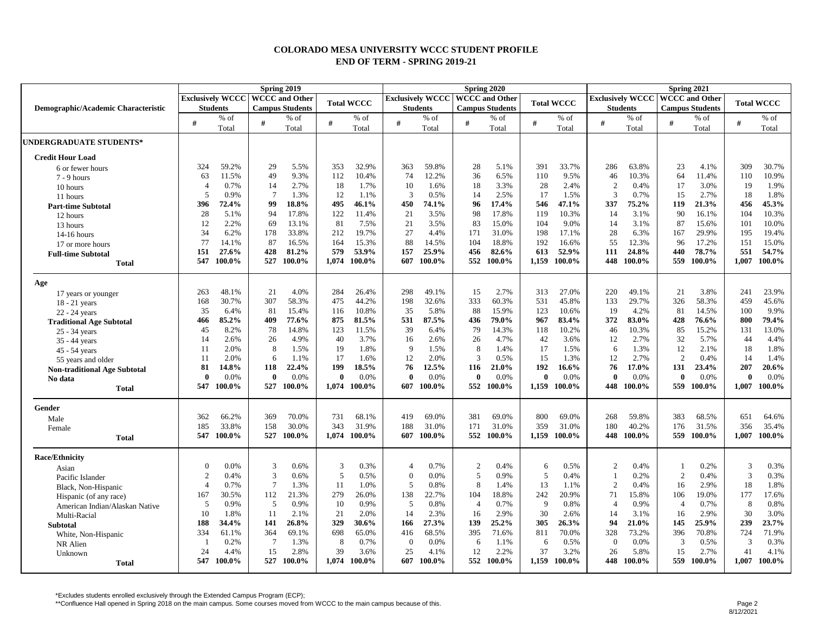## **COLORADO MESA UNIVERSITY WCCC STUDENT PROFILE END OF TERM - SPRING 2019-21**

| <b>Exclusively WCCC   WCCC and Other</b><br><b>Exclusively WCCC   WCCC and Other</b><br><b>Exclusively WCCC   WCCC and Other</b><br><b>Total WCCC</b><br><b>Total WCCC</b><br>Demographic/Academic Characteristic<br><b>Students</b><br><b>Campus Students</b><br><b>Students</b><br><b>Campus Students</b><br><b>Students</b><br><b>Campus Students</b><br>$%$ of<br>$%$ of<br>$%$ of<br>$%$ of<br>$%$ of<br>$%$ of<br>$%$ of<br>% of<br>#<br>#<br>#<br>#<br>#<br>#<br>#<br>#<br>#<br>Total<br>Total<br>Total<br>Total<br>Total<br>Total<br>Total<br>Total<br>UNDERGRADUATE STUDENTS*<br><b>Credit Hour Load</b><br>32.9%<br>33.7%<br>59.2%<br>29<br>5.5%<br>353<br>59.8%<br>28<br>5.1%<br>391<br>286<br>63.8%<br>23<br>4.1%<br>324<br>363<br>6 or fewer hours<br>63<br>11.5%<br>49<br>9.3%<br>112<br>10.4%<br>74<br>12.2%<br>36<br>6.5%<br>110<br>9.5%<br>46<br>10.3%<br>64<br>11.4%<br>7 - 9 hours<br>0.7%<br>2.7%<br>18<br>1.7%<br>10<br>28<br>2.4%<br>$\overline{2}$<br>0.4%<br>17<br>3.0%<br>$\overline{A}$<br>14<br>1.6%<br>18<br>3.3% | <b>Total WCCC</b><br>% of<br>Total<br>309<br>30.7%<br>10.9%<br>110<br>19<br>1.9%<br>18<br>1.8%<br>45.3%<br>456<br>10.3%<br>104<br>10.0%<br>101<br>195<br>19.4%<br>151<br>15.0%<br>54.7%<br>551<br>1,007<br>100.0% |
|-----------------------------------------------------------------------------------------------------------------------------------------------------------------------------------------------------------------------------------------------------------------------------------------------------------------------------------------------------------------------------------------------------------------------------------------------------------------------------------------------------------------------------------------------------------------------------------------------------------------------------------------------------------------------------------------------------------------------------------------------------------------------------------------------------------------------------------------------------------------------------------------------------------------------------------------------------------------------------------------------------------------------------------------------|-------------------------------------------------------------------------------------------------------------------------------------------------------------------------------------------------------------------|
|                                                                                                                                                                                                                                                                                                                                                                                                                                                                                                                                                                                                                                                                                                                                                                                                                                                                                                                                                                                                                                               |                                                                                                                                                                                                                   |
|                                                                                                                                                                                                                                                                                                                                                                                                                                                                                                                                                                                                                                                                                                                                                                                                                                                                                                                                                                                                                                               |                                                                                                                                                                                                                   |
|                                                                                                                                                                                                                                                                                                                                                                                                                                                                                                                                                                                                                                                                                                                                                                                                                                                                                                                                                                                                                                               |                                                                                                                                                                                                                   |
|                                                                                                                                                                                                                                                                                                                                                                                                                                                                                                                                                                                                                                                                                                                                                                                                                                                                                                                                                                                                                                               |                                                                                                                                                                                                                   |
|                                                                                                                                                                                                                                                                                                                                                                                                                                                                                                                                                                                                                                                                                                                                                                                                                                                                                                                                                                                                                                               |                                                                                                                                                                                                                   |
|                                                                                                                                                                                                                                                                                                                                                                                                                                                                                                                                                                                                                                                                                                                                                                                                                                                                                                                                                                                                                                               |                                                                                                                                                                                                                   |
|                                                                                                                                                                                                                                                                                                                                                                                                                                                                                                                                                                                                                                                                                                                                                                                                                                                                                                                                                                                                                                               |                                                                                                                                                                                                                   |
|                                                                                                                                                                                                                                                                                                                                                                                                                                                                                                                                                                                                                                                                                                                                                                                                                                                                                                                                                                                                                                               |                                                                                                                                                                                                                   |
| 10 hours                                                                                                                                                                                                                                                                                                                                                                                                                                                                                                                                                                                                                                                                                                                                                                                                                                                                                                                                                                                                                                      |                                                                                                                                                                                                                   |
| 5<br>0.9%<br>$7\phantom{.0}$<br>12<br>3<br>17<br>1.5%<br>3<br>0.7%<br>1.3%<br>1.1%<br>0.5%<br>14<br>2.5%<br>15<br>2.7%<br>11 hours                                                                                                                                                                                                                                                                                                                                                                                                                                                                                                                                                                                                                                                                                                                                                                                                                                                                                                            |                                                                                                                                                                                                                   |
| 396<br>72.4%<br>99<br>18.8%<br>495<br>46.1%<br>450<br>74.1%<br>96<br>17.4%<br>546<br>47.1%<br>337<br>75.2%<br>119<br>21.3%<br><b>Part-time Subtotal</b>                                                                                                                                                                                                                                                                                                                                                                                                                                                                                                                                                                                                                                                                                                                                                                                                                                                                                       |                                                                                                                                                                                                                   |
| 28<br>94<br>122<br>21<br>98<br>10.3%<br>3.1%<br>90<br>5.1%<br>17.8%<br>11.4%<br>3.5%<br>17.8%<br>119<br>14<br>16.1%<br>12 hours                                                                                                                                                                                                                                                                                                                                                                                                                                                                                                                                                                                                                                                                                                                                                                                                                                                                                                               |                                                                                                                                                                                                                   |
| 12<br>69<br>81<br>21<br>83<br>104<br>9.0%<br>2.2%<br>13.1%<br>7.5%<br>3.5%<br>15.0%<br>14<br>3.1%<br>87<br>15.6%<br>13 hours                                                                                                                                                                                                                                                                                                                                                                                                                                                                                                                                                                                                                                                                                                                                                                                                                                                                                                                  |                                                                                                                                                                                                                   |
| 27<br>34<br>6.2%<br>178<br>33.8%<br>212<br>19.7%<br>4.4%<br>171<br>31.0%<br>198<br>17.1%<br>28<br>6.3%<br>167<br>29.9%<br>14-16 hours                                                                                                                                                                                                                                                                                                                                                                                                                                                                                                                                                                                                                                                                                                                                                                                                                                                                                                         |                                                                                                                                                                                                                   |
| 77<br>87<br>88<br>192<br>55<br>14.1%<br>16.5%<br>164<br>15.3%<br>14.5%<br>104<br>18.8%<br>16.6%<br>12.3%<br>96<br>17.2%<br>17 or more hours                                                                                                                                                                                                                                                                                                                                                                                                                                                                                                                                                                                                                                                                                                                                                                                                                                                                                                   |                                                                                                                                                                                                                   |
| 151<br>27.6%<br>428<br>81.2%<br>579<br>53.9%<br>25.9%<br>82.6%<br>613<br>52.9%<br>111<br>24.8%<br>78.7%<br>157<br>456<br>440<br><b>Full-time Subtotal</b>                                                                                                                                                                                                                                                                                                                                                                                                                                                                                                                                                                                                                                                                                                                                                                                                                                                                                     |                                                                                                                                                                                                                   |
| 547<br>527<br>100.0%<br>1.074<br>100.0%<br>607<br>100.0%<br>552<br>100.0%<br>1,159<br>100.0%<br>448<br>100.0%<br>559<br>100.0%<br>100.0%<br><b>Total</b>                                                                                                                                                                                                                                                                                                                                                                                                                                                                                                                                                                                                                                                                                                                                                                                                                                                                                      |                                                                                                                                                                                                                   |
| Age                                                                                                                                                                                                                                                                                                                                                                                                                                                                                                                                                                                                                                                                                                                                                                                                                                                                                                                                                                                                                                           |                                                                                                                                                                                                                   |
| 4.0%<br>27.0%<br>263<br>48.1%<br>21<br>284<br>26.4%<br>298<br>49.1%<br>15<br>2.7%<br>313<br>220<br>49.1%<br>21<br>3.8%<br>17 years or younger                                                                                                                                                                                                                                                                                                                                                                                                                                                                                                                                                                                                                                                                                                                                                                                                                                                                                                 | 23.9%<br>241                                                                                                                                                                                                      |
| 307<br>168<br>30.7%<br>58.3%<br>475<br>44.2%<br>198<br>32.6%<br>333<br>60.3%<br>531<br>45.8%<br>133<br>29.7%<br>326<br>58.3%<br>$18 - 21$ years                                                                                                                                                                                                                                                                                                                                                                                                                                                                                                                                                                                                                                                                                                                                                                                                                                                                                               | 459<br>45.6%                                                                                                                                                                                                      |
| 35<br>10.8%<br>5.8%<br>123<br>4.2%<br>81<br>81<br>15.4%<br>35<br>88<br>15.9%<br>10.6%<br>19<br>14.5%<br>6.4%<br>116<br>22 - 24 years                                                                                                                                                                                                                                                                                                                                                                                                                                                                                                                                                                                                                                                                                                                                                                                                                                                                                                          | 100<br>9.9%                                                                                                                                                                                                       |
| 85.2%<br>409<br>77.6%<br>875<br>81.5%<br>531<br>87.5%<br>436<br>79.0%<br>967<br>83.4%<br>372<br>83.0%<br>428<br>76.6%<br>466<br><b>Traditional Age Subtotal</b>                                                                                                                                                                                                                                                                                                                                                                                                                                                                                                                                                                                                                                                                                                                                                                                                                                                                               | 800<br>79.4%                                                                                                                                                                                                      |
| 123<br>39<br>45<br>8.2%<br>78<br>14.8%<br>11.5%<br>6.4%<br>79<br>14.3%<br>118<br>10.2%<br>46<br>10.3%<br>85<br>15.2%<br>25 - 34 years                                                                                                                                                                                                                                                                                                                                                                                                                                                                                                                                                                                                                                                                                                                                                                                                                                                                                                         | 13.0%<br>131                                                                                                                                                                                                      |
| 14<br>26<br>4.9%<br>40<br>3.7%<br>26<br>42<br>3.6%<br>12<br>2.7%<br>32<br>5.7%<br>2.6%<br>16<br>2.6%<br>4.7%<br>35 - 44 years                                                                                                                                                                                                                                                                                                                                                                                                                                                                                                                                                                                                                                                                                                                                                                                                                                                                                                                 | 44<br>4.4%                                                                                                                                                                                                        |
| 8<br>8<br>12<br>2.1%<br>2.0%<br>1.5%<br>19<br>1.8%<br>9<br>1.5%<br>1.4%<br>17<br>1.5%<br>6<br>1.3%<br>11<br>45 - 54 years                                                                                                                                                                                                                                                                                                                                                                                                                                                                                                                                                                                                                                                                                                                                                                                                                                                                                                                     | 18<br>1.8%                                                                                                                                                                                                        |
| 3<br>2<br>2.0%<br>6<br>17<br>1.6%<br>12<br>2.0%<br>0.5%<br>15<br>1.3%<br>12<br>2.7%<br>0.4%<br>1.1%<br>-11<br>55 years and older                                                                                                                                                                                                                                                                                                                                                                                                                                                                                                                                                                                                                                                                                                                                                                                                                                                                                                              | 1.4%<br>14                                                                                                                                                                                                        |
| 199<br>18.5%<br>76<br>12.5%<br>192<br>76<br>131<br>23.4%<br>81<br>14.8%<br>118<br>22.4%<br>116<br>21.0%<br>16.6%<br>17.0%<br><b>Non-traditional Age Subtotal</b>                                                                                                                                                                                                                                                                                                                                                                                                                                                                                                                                                                                                                                                                                                                                                                                                                                                                              | 20.6%<br>207                                                                                                                                                                                                      |
| 0.0%<br>$\mathbf{0}$<br>0.0%<br>$\mathbf{0}$<br>0.0%<br>0.0%<br>0.0%<br>$\mathbf{0}$<br>0.0%<br>$\mathbf{0}$<br>0.0%<br>0.0%<br>$\mathbf{0}$<br>$\mathbf{0}$<br>$\mathbf{0}$<br>0<br>No data                                                                                                                                                                                                                                                                                                                                                                                                                                                                                                                                                                                                                                                                                                                                                                                                                                                  | 0.0%<br>$\mathbf{0}$                                                                                                                                                                                              |
| 527<br>1,159<br>547<br>100.0%<br>100.0%<br>1.074<br>100.0%<br>100.0%<br>552<br>100.0%<br>100.0%<br>448<br>100.0%<br>559<br>100.0%<br>607<br><b>Total</b>                                                                                                                                                                                                                                                                                                                                                                                                                                                                                                                                                                                                                                                                                                                                                                                                                                                                                      | 1,007<br>100.0%                                                                                                                                                                                                   |
| Gender                                                                                                                                                                                                                                                                                                                                                                                                                                                                                                                                                                                                                                                                                                                                                                                                                                                                                                                                                                                                                                        |                                                                                                                                                                                                                   |
| 362<br>66.2%<br>369<br>70.0%<br>731<br>68.1%<br>419<br>69.0%<br>381<br>69.0%<br>800<br>69.0%<br>268<br>59.8%<br>383<br>68.5%<br>Male                                                                                                                                                                                                                                                                                                                                                                                                                                                                                                                                                                                                                                                                                                                                                                                                                                                                                                          | 651<br>64.6%                                                                                                                                                                                                      |
| 185<br>33.8%<br>30.0%<br>343<br>31.9%<br>188<br>31.0%<br>31.0%<br>359<br>31.0%<br>180<br>40.2%<br>31.5%<br>158<br>171<br>176<br>Female                                                                                                                                                                                                                                                                                                                                                                                                                                                                                                                                                                                                                                                                                                                                                                                                                                                                                                        | 356<br>35.4%                                                                                                                                                                                                      |
| 547<br>527<br>552<br>448<br>100.0%<br>100.0%<br>100.0%<br>1,074<br>100.0%<br>607<br>100.0%<br>100.0%<br>1,159<br>100.0%<br>100.0%<br>559<br><b>Total</b>                                                                                                                                                                                                                                                                                                                                                                                                                                                                                                                                                                                                                                                                                                                                                                                                                                                                                      | 100.0%<br>1,007                                                                                                                                                                                                   |
| <b>Race/Ethnicity</b>                                                                                                                                                                                                                                                                                                                                                                                                                                                                                                                                                                                                                                                                                                                                                                                                                                                                                                                                                                                                                         |                                                                                                                                                                                                                   |
| 0.0%<br>0.6%<br>3<br>0.3%<br>0.7%<br>0.5%<br>0.2%<br>3<br>$\overline{c}$<br>0.4%<br>$\overline{2}$<br>0.4%<br>$\overline{0}$<br>6<br>$\overline{4}$<br>-1<br>Asian                                                                                                                                                                                                                                                                                                                                                                                                                                                                                                                                                                                                                                                                                                                                                                                                                                                                            | 3<br>0.3%                                                                                                                                                                                                         |
| $\overline{2}$<br>3<br>5<br>5<br>5<br>0.6%<br>0.5%<br>$\Omega$<br>0.0%<br>0.9%<br>0.4%<br>0.2%<br>2<br>0.4%<br>0.4%<br>Pacific Islander                                                                                                                                                                                                                                                                                                                                                                                                                                                                                                                                                                                                                                                                                                                                                                                                                                                                                                       | 3<br>0.3%                                                                                                                                                                                                         |
| $\tau$<br>8<br>$\overline{4}$<br>0.7%<br>1.3%<br>-11<br>1.0%<br>5<br>0.8%<br>13<br>1.1%<br>2<br>0.4%<br>16<br>2.9%<br>1.4%<br>Black, Non-Hispanic                                                                                                                                                                                                                                                                                                                                                                                                                                                                                                                                                                                                                                                                                                                                                                                                                                                                                             | 18<br>1.8%                                                                                                                                                                                                        |
| 279<br>167<br>112<br>26.0%<br>138<br>22.7%<br>104<br>18.8%<br>242<br>20.9%<br>71<br>106<br>19.0%<br>30.5%<br>21.3%<br>15.8%<br>Hispanic (of any race)                                                                                                                                                                                                                                                                                                                                                                                                                                                                                                                                                                                                                                                                                                                                                                                                                                                                                         | 177<br>17.6%                                                                                                                                                                                                      |
| 0.9%<br>$\sqrt{5}$<br>0.9%<br>0.8%<br>9<br>0.8%<br>0.9%<br>5<br>0.9%<br>10<br>5<br>$\overline{4}$<br>0.7%<br>0.7%<br>$\overline{4}$<br>$\overline{4}$<br>American Indian/Alaskan Native                                                                                                                                                                                                                                                                                                                                                                                                                                                                                                                                                                                                                                                                                                                                                                                                                                                       | 0.8%<br>8                                                                                                                                                                                                         |
| 30<br>10<br>1.8%<br>11<br>2.1%<br>21<br>2.0%<br>14<br>2.3%<br>2.9%<br>2.6%<br>2.9%<br>16<br>14<br>3.1%<br>16<br>Multi-Racial                                                                                                                                                                                                                                                                                                                                                                                                                                                                                                                                                                                                                                                                                                                                                                                                                                                                                                                  | 30<br>3.0%                                                                                                                                                                                                        |
| 305<br>188<br>34.4%<br>141<br>26.8%<br>329<br>30.6%<br>166<br>27.3%<br>139<br>25.2%<br>26.3%<br>94<br>21.0%<br>145<br>25.9%<br><b>Subtotal</b>                                                                                                                                                                                                                                                                                                                                                                                                                                                                                                                                                                                                                                                                                                                                                                                                                                                                                                | 23.7%<br>239                                                                                                                                                                                                      |
| 364<br>69.1%<br>698<br>65.0%<br>416<br>395<br>71.6%<br>70.0%<br>328<br>73.2%<br>396<br>70.8%<br>334<br>61.1%<br>68.5%<br>811<br>White, Non-Hispanic                                                                                                                                                                                                                                                                                                                                                                                                                                                                                                                                                                                                                                                                                                                                                                                                                                                                                           | 71.9%<br>724                                                                                                                                                                                                      |
| $\overline{7}$<br>$\,8\,$<br>3<br>1.3%<br>0.7%<br>0.0%<br>6<br>0.5%<br>$\overline{0}$<br>0.0%<br>0.5%<br>0.2%<br>$\overline{0}$<br>6<br>1.1%<br>NR Alien                                                                                                                                                                                                                                                                                                                                                                                                                                                                                                                                                                                                                                                                                                                                                                                                                                                                                      | 3<br>0.3%                                                                                                                                                                                                         |
| 24<br>39<br>37<br>15<br>15<br>2.8%<br>3.6%<br>25<br>12<br>2.2%<br>3.2%<br>26<br>2.7%<br>4.4%<br>5.8%<br>4.1%<br>Unknown                                                                                                                                                                                                                                                                                                                                                                                                                                                                                                                                                                                                                                                                                                                                                                                                                                                                                                                       | 41<br>4.1%                                                                                                                                                                                                        |
| 527 100.0%<br>552 100.0%<br>1.159 100.0%<br>559 100.0%<br>547<br>$100.0\%$<br>1.074 100.0%<br>607<br>100.0%<br>448<br>$100.0\%$<br><b>Total</b>                                                                                                                                                                                                                                                                                                                                                                                                                                                                                                                                                                                                                                                                                                                                                                                                                                                                                               | 100.0%<br>1.007                                                                                                                                                                                                   |

\*Excludes students enrolled exclusively through the Extended Campus Program (ECP);<br>\*\*Confluence Hall opened in Spring 2018 on the main campus. Some courses moved from WCCC to the main campus because of this.